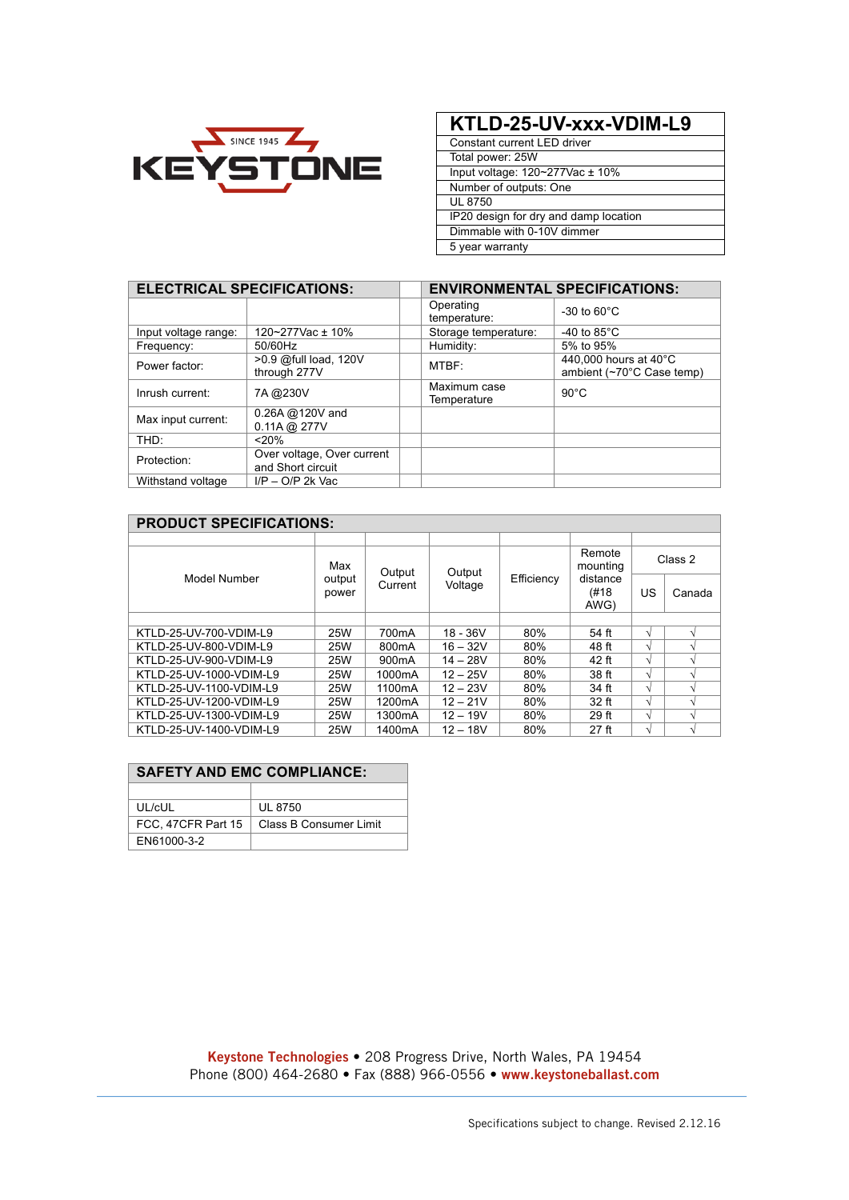

## **KTLD-25-UV-xxx-VDIM-L9**

Constant current LED driver Total power: 25W Input voltage: 120~277Vac ± 10% Number of outputs: One UL 8750 IP20 design for dry and damp location Dimmable with 0-10V dimmer 5 year warranty

|                      | <b>ELECTRICAL SPECIFICATIONS:</b>               |                             | <b>ENVIRONMENTAL SPECIFICATIONS:</b>               |  |  |  |  |
|----------------------|-------------------------------------------------|-----------------------------|----------------------------------------------------|--|--|--|--|
|                      |                                                 | Operating<br>temperature:   | $-30$ to $60^{\circ}$ C                            |  |  |  |  |
| Input voltage range: | 120~277Vac ± 10%                                | Storage temperature:        | -40 to $85^{\circ}$ C                              |  |  |  |  |
| Frequency:           | 50/60Hz                                         | Humidity:                   | 5% to 95%                                          |  |  |  |  |
| Power factor:        | >0.9 @full load, 120V<br>through 277V           | MTBF:                       | 440,000 hours at 40°C<br>ambient (~70°C Case temp) |  |  |  |  |
| Inrush current:      | 7A @230V                                        | Maximum case<br>Temperature | $90^{\circ}$ C                                     |  |  |  |  |
| Max input current:   | 0.26A @ 120V and<br>$0.11A$ @ 277V              |                             |                                                    |  |  |  |  |
| THD:                 | < 20%                                           |                             |                                                    |  |  |  |  |
| Protection:          | Over voltage, Over current<br>and Short circuit |                             |                                                    |  |  |  |  |
| Withstand voltage    | $I/P - O/P$ 2k Vac                              |                             |                                                    |  |  |  |  |

| <b>PRODUCT SPECIFICATIONS:</b> |                        |                     |                   |            |                                                 |         |        |
|--------------------------------|------------------------|---------------------|-------------------|------------|-------------------------------------------------|---------|--------|
|                                |                        |                     |                   |            |                                                 |         |        |
|                                | Max<br>output<br>power | Output<br>Current   | Output<br>Voltage | Efficiency | Remote<br>mounting<br>distance<br>(#18)<br>AWG) | Class 2 |        |
| Model Number                   |                        |                     |                   |            |                                                 | US      | Canada |
|                                |                        |                     |                   |            |                                                 |         |        |
| KTLD-25-UV-700-VDIM-L9         | 25W                    | 700 <sub>m</sub> A  | $18 - 36V$        | 80%        | 54 ft                                           | V       |        |
| KTLD-25-UV-800-VDIM-L9         | 25W                    | 800 <sub>m</sub> A  | $16 - 32V$        | 80%        | 48 ft                                           | N       |        |
| KTLD-25-UV-900-VDIM-L9         | 25W                    | 900 <sub>m</sub> A  | $14 - 28V$        | 80%        | 42 ft                                           | N       |        |
| KTLD-25-UV-1000-VDIM-L9        | 25W                    | 1000mA              | $12 - 25V$        | 80%        | 38 ft                                           | N       |        |
| KTLD-25-UV-1100-VDIM-L9        | 25W                    | 1100mA              | $12 - 23V$        | 80%        | 34 ft                                           | V       |        |
| KTLD-25-UV-1200-VDIM-L9        | 25W                    | 1200mA              | $12 - 21V$        | 80%        | $32$ ft                                         | V       |        |
| KTLD-25-UV-1300-VDIM-L9        | 25W                    | 1300 <sub>m</sub> A | $12 - 19V$        | 80%        | 29 <sub>ft</sub>                                | V       | ٦Ι     |
| KTLD-25-UV-1400-VDIM-L9        | 25W                    | 1400mA              | $12 - 18V$        | 80%        | $27$ ft                                         | V       |        |

| <b>SAFETY AND EMC COMPLIANCE:</b> |                        |  |  |  |
|-----------------------------------|------------------------|--|--|--|
|                                   |                        |  |  |  |
| UL/cUL                            | <b>UL 8750</b>         |  |  |  |
| FCC, 47CFR Part 15                | Class B Consumer Limit |  |  |  |
| FN61000-3-2                       |                        |  |  |  |

**Keystone Technologies •** 208 Progress Drive, North Wales, PA 19454 Phone (800) 464-2680 **•** Fax (888) 966-0556 **• www.keystoneballast.com**